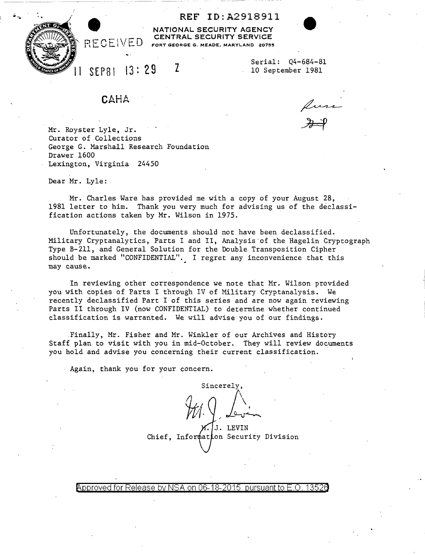REF ID:A2918911

NATIONAL SECURITY AGENCY CENTRAL SECURITY SERVICE FORT GEORGE G. MEADE, MARYLAND 20755

SEP81 13: 29 z

Serial: Q4-684-81 10 September 1981

**CAHA** 

RECEIVED

Mr. Royster Lyle, Jr. Curator of Collections George G. Marshall Research Foundation Drawer 1600 Lexington, Virginia 24450

Dear Mr. Lyle:

Mr. Charles Ware has provided me with a copy of your August 28, 1981 letter to him. Thank you very much for advising us of the declassification actions taken by Mr. Wilson in 1975.

Unfortunately, the documents should not have been declassified. Military Cryptanalytics, Parts I and II, Analysis-of the Hagelin Cryptograph Type B-211, and General Solution for the Double Transposition Cipher should be marked "CONFIDENTIAL". I regret any inconvenience that this may cause.

In reviewing other correspondence we note that Mr. Wilson provided you with copies of Parts I through IV of Military Cryptanalysis. We recently declassified Part I of this series and are now again reviewing Parts II through IV (now CONFIDENTIAL) to determine whether continued classification is warranted. We will advise you of our findings •

. Finally, Mr. Fisher and Mr. Winkler of our Archives and History Staff plan to visit with you in mid-October. They will review documents you hold and advise you concerning their current classification.

Again, thank you for your concern.

Sincerely,  $J_{\Phi}$  in "' J. LEVIN Chief, Information Security Division

@'pp roved for Release by NSA on 06-18-2015 pursuantto E \_O \_ 1352a